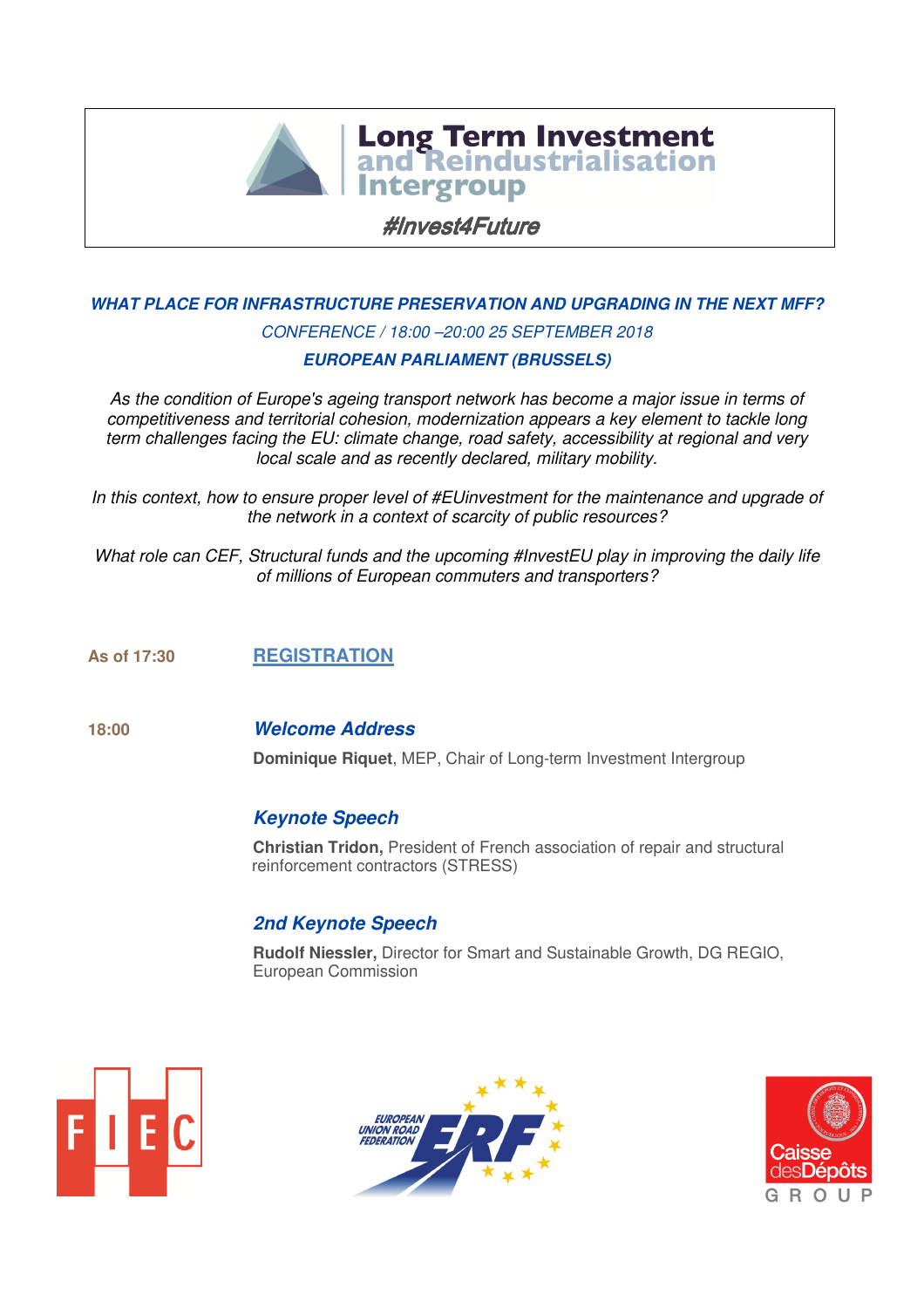

 $\overline{\phantom{a}}$ ì **Intergroup** 

#Invest4Future

# **WHAT PLACE FOR INFRASTRUCTURE PRESERVATION AND UPGRADING IN THE NEXT MFF?**  CONFERENCE / 18:00 –20:00 25 SEPTEMBER 2018

## **EUROPEAN PARLIAMENT (BRUSSELS)**

As the condition of Europe's ageing transport network has become a major issue in terms of competitiveness and territorial cohesion, modernization appears a key element to tackle long term challenges facing the EU: climate change, road safety, accessibility at regional and very local scale and as recently declared, military mobility.

In this context, how to ensure proper level of #EUinvestment for the maintenance and upgrade of the network in a context of scarcity of public resources?

What role can CEF, Structural funds and the upcoming #InvestEU play in improving the daily life of millions of European commuters and transporters?

## **As of 17:30 REGISTRATION**

#### **18:00 Welcome Address**

**Dominique Riquet**, MEP, Chair of Long-term Investment Intergroup

#### **Keynote Speech**

**Christian Tridon,** President of French association of repair and structural reinforcement contractors (STRESS)

# **2nd Keynote Speech**

**Rudolf Niessler,** Director for Smart and Sustainable Growth, DG REGIO, European Commission